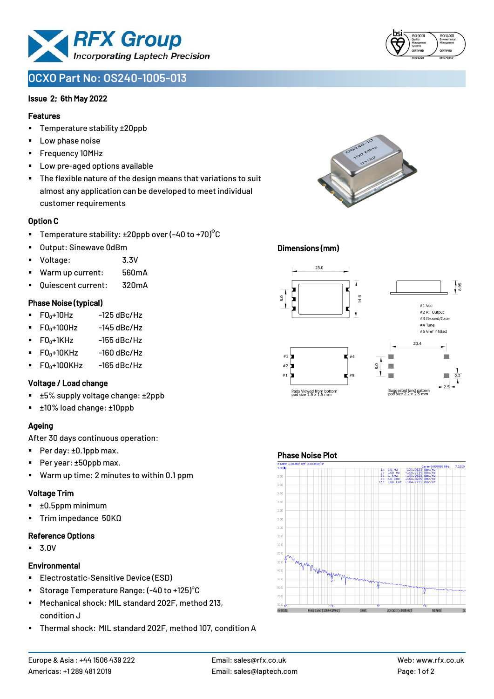

# **OCXO Part No: OS240-1005-013**

### Issue 2; 6th May 2022

#### Features

- Temperature stability ±20ppb
- Low phase noise
- Frequency 10MHz
- Low pre-aged options available
- The flexible nature of the design means that variations to suit almost any application can be developed to meet individual customer requirements

### Option C

- **•** Temperature stability:  $\pm 20$ ppb over (-40 to +70)<sup>o</sup>C
- Output: Sinewave 0dBm
- Voltage: 3.3V
- Warm up current: 560mA
- Ouiescent current: 320mA

### Phase Noise (typical)

- $\blacksquare$  F0 $\scriptstyle\bullet$ +10Hz -125 dBc/Hz
- $FO<sub>0</sub>+100Hz$  -145 dBc/Hz
- $F0_0+1$ KHz  $-155$  dBc/Hz
- $F0_0+10K$ Hz  $-160$  dBc/Hz
- $\blacksquare$  F0<sub>0</sub>+100KHz -165 dBc/Hz

### Voltage / Load change

- ±5% supply voltage change: ±2ppb
- ±10% load change: ±10ppb

### Ageing

After 30 days continuous operation:

- Per day: ±0.1ppb max.
- Per year: ±50ppb max.
- Warm up time: 2 minutes to within 0.1 ppm

# Voltage Trim

- $\blacksquare$   $\pm 0.5$ ppm minimum
- Trim impedance 50KΩ

# Reference Options

▪ 3.0V

# **Environmental**

- **Electrostatic-Sensitive Device (ESD)**
- Storage Temperature Range: (-40 to +125) °C
- Mechanical shock: MIL standard 202F, method 213, condition J
- Thermal shock: MIL standard 202F, method 107, condition A





### Dimensions (mm)



#### Phase Noise Plot